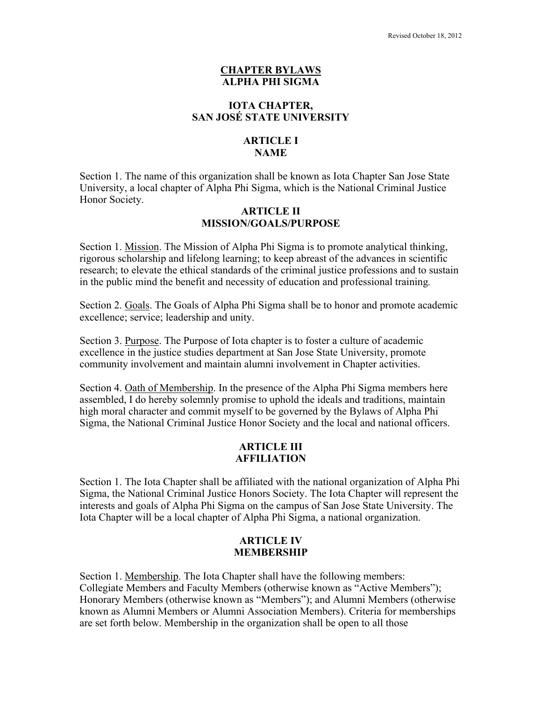#### **CHAPTER BYLAWS ALPHA PHI SIGMA**

### **IOTA CHAPTER, SAN JOSÉ STATE UNIVERSITY**

# **ARTICLE I NAME**

Section 1. The name of this organization shall be known as Iota Chapter San Jose State University, a local chapter of Alpha Phi Sigma, which is the National Criminal Justice Honor Society.

#### **ARTICLE II MISSION/GOALS/PURPOSE**

Section 1. Mission. The Mission of Alpha Phi Sigma is to promote analytical thinking, rigorous scholarship and lifelong learning; to keep abreast of the advances in scientific research; to elevate the ethical standards of the criminal justice professions and to sustain in the public mind the benefit and necessity of education and professional training*.*

Section 2. Goals. The Goals of Alpha Phi Sigma shall be to honor and promote academic excellence; service; leadership and unity.

Section 3. Purpose. The Purpose of Iota chapter is to foster a culture of academic excellence in the justice studies department at San Jose State University, promote community involvement and maintain alumni involvement in Chapter activities.

Section 4. Oath of Membership. In the presence of the Alpha Phi Sigma members here assembled, I do hereby solemnly promise to uphold the ideals and traditions, maintain high moral character and commit myself to be governed by the Bylaws of Alpha Phi Sigma, the National Criminal Justice Honor Society and the local and national officers.

## **ARTICLE III AFFILIATION**

Section 1. The Iota Chapter shall be affiliated with the national organization of Alpha Phi Sigma, the National Criminal Justice Honors Society. The Iota Chapter will represent the interests and goals of Alpha Phi Sigma on the campus of San Jose State University. The Iota Chapter will be a local chapter of Alpha Phi Sigma, a national organization.

### **ARTICLE IV MEMBERSHIP**

Section 1. Membership. The Iota Chapter shall have the following members: Collegiate Members and Faculty Members (otherwise known as "Active Members"); Honorary Members (otherwise known as "Members"); and Alumni Members (otherwise known as Alumni Members or Alumni Association Members). Criteria for memberships are set forth below. Membership in the organization shall be open to all those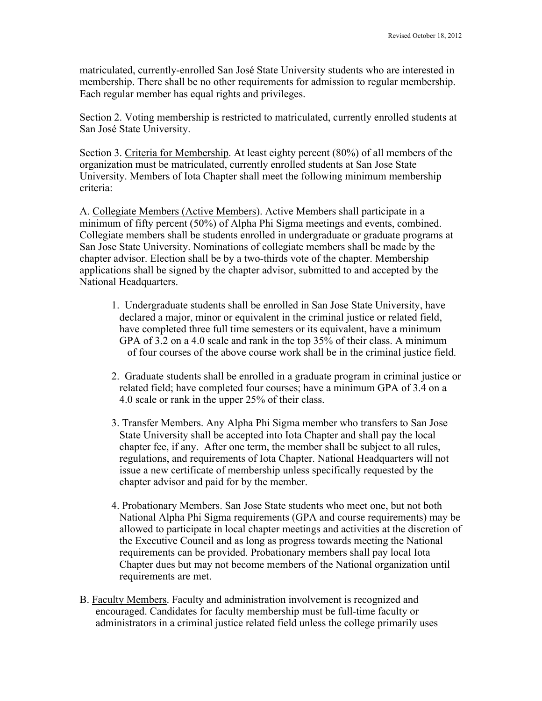matriculated, currently-enrolled San José State University students who are interested in membership. There shall be no other requirements for admission to regular membership. Each regular member has equal rights and privileges.

Section 2. Voting membership is restricted to matriculated, currently enrolled students at San José State University.

Section 3. Criteria for Membership. At least eighty percent (80%) of all members of the organization must be matriculated, currently enrolled students at San Jose State University. Members of Iota Chapter shall meet the following minimum membership criteria:

A. Collegiate Members (Active Members). Active Members shall participate in a minimum of fifty percent (50%) of Alpha Phi Sigma meetings and events, combined. Collegiate members shall be students enrolled in undergraduate or graduate programs at San Jose State University. Nominations of collegiate members shall be made by the chapter advisor. Election shall be by a two-thirds vote of the chapter. Membership applications shall be signed by the chapter advisor, submitted to and accepted by the National Headquarters.

- 1. Undergraduate students shall be enrolled in San Jose State University, have declared a major, minor or equivalent in the criminal justice or related field, have completed three full time semesters or its equivalent, have a minimum GPA of 3.2 on a 4.0 scale and rank in the top 35% of their class. A minimum of four courses of the above course work shall be in the criminal justice field.
- 2. Graduate students shall be enrolled in a graduate program in criminal justice or related field; have completed four courses; have a minimum GPA of 3.4 on a 4.0 scale or rank in the upper 25% of their class.
- 3. Transfer Members. Any Alpha Phi Sigma member who transfers to San Jose State University shall be accepted into Iota Chapter and shall pay the local chapter fee, if any. After one term, the member shall be subject to all rules, regulations, and requirements of Iota Chapter. National Headquarters will not issue a new certificate of membership unless specifically requested by the chapter advisor and paid for by the member.
- 4. Probationary Members. San Jose State students who meet one, but not both National Alpha Phi Sigma requirements (GPA and course requirements) may be allowed to participate in local chapter meetings and activities at the discretion of the Executive Council and as long as progress towards meeting the National requirements can be provided. Probationary members shall pay local Iota Chapter dues but may not become members of the National organization until requirements are met.
- B. Faculty Members. Faculty and administration involvement is recognized and encouraged. Candidates for faculty membership must be full-time faculty or administrators in a criminal justice related field unless the college primarily uses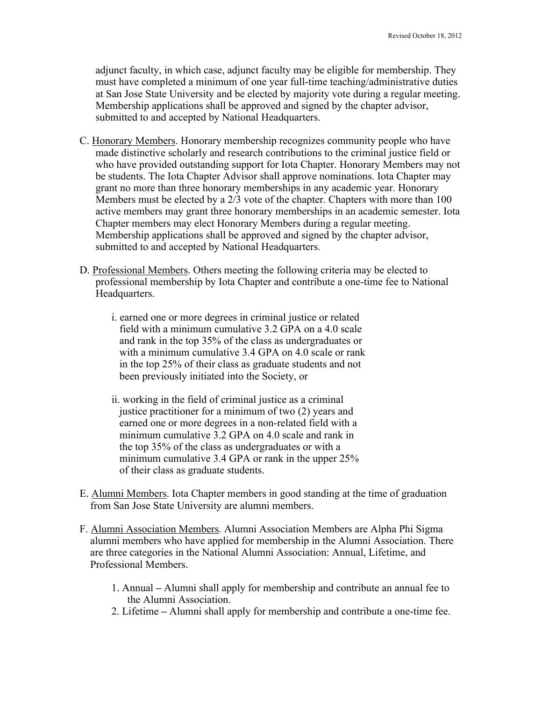adjunct faculty, in which case, adjunct faculty may be eligible for membership. They must have completed a minimum of one year full-time teaching/administrative duties at San Jose State University and be elected by majority vote during a regular meeting. Membership applications shall be approved and signed by the chapter advisor, submitted to and accepted by National Headquarters.

- C. Honorary Members. Honorary membership recognizes community people who have made distinctive scholarly and research contributions to the criminal justice field or who have provided outstanding support for Iota Chapter. Honorary Members may not be students. The Iota Chapter Advisor shall approve nominations. Iota Chapter may grant no more than three honorary memberships in any academic year. Honorary Members must be elected by a 2/3 vote of the chapter. Chapters with more than 100 active members may grant three honorary memberships in an academic semester. Iota Chapter members may elect Honorary Members during a regular meeting. Membership applications shall be approved and signed by the chapter advisor, submitted to and accepted by National Headquarters.
- D. Professional Members. Others meeting the following criteria may be elected to professional membership by Iota Chapter and contribute a one-time fee to National Headquarters.
	- i. earned one or more degrees in criminal justice or related field with a minimum cumulative 3.2 GPA on a 4.0 scale and rank in the top 35% of the class as undergraduates or with a minimum cumulative 3.4 GPA on 4.0 scale or rank in the top 25% of their class as graduate students and not been previously initiated into the Society, or
	- ii. working in the field of criminal justice as a criminal justice practitioner for a minimum of two (2) years and earned one or more degrees in a non-related field with a minimum cumulative 3.2 GPA on 4.0 scale and rank in the top 35% of the class as undergraduates or with a minimum cumulative 3.4 GPA or rank in the upper 25% of their class as graduate students.
- E. Alumni Members. Iota Chapter members in good standing at the time of graduation from San Jose State University are alumni members.
- F. Alumni Association Members. Alumni Association Members are Alpha Phi Sigma alumni members who have applied for membership in the Alumni Association. There are three categories in the National Alumni Association: Annual, Lifetime, and Professional Members.
	- 1. Annual **–** Alumni shall apply for membership and contribute an annual fee to the Alumni Association.
	- 2. Lifetime **–** Alumni shall apply for membership and contribute a one-time fee.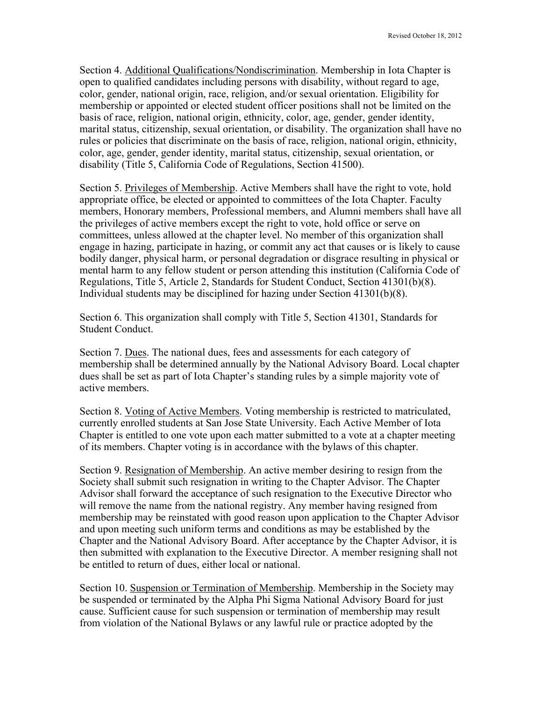Section 4. Additional Qualifications/Nondiscrimination. Membership in Iota Chapter is open to qualified candidates including persons with disability, without regard to age, color, gender, national origin, race, religion, and/or sexual orientation. Eligibility for membership or appointed or elected student officer positions shall not be limited on the basis of race, religion, national origin, ethnicity, color, age, gender, gender identity, marital status, citizenship, sexual orientation, or disability. The organization shall have no rules or policies that discriminate on the basis of race, religion, national origin, ethnicity, color, age, gender, gender identity, marital status, citizenship, sexual orientation, or disability (Title 5, California Code of Regulations, Section 41500).

Section 5. Privileges of Membership. Active Members shall have the right to vote, hold appropriate office, be elected or appointed to committees of the Iota Chapter. Faculty members, Honorary members, Professional members, and Alumni members shall have all the privileges of active members except the right to vote, hold office or serve on committees, unless allowed at the chapter level. No member of this organization shall engage in hazing, participate in hazing, or commit any act that causes or is likely to cause bodily danger, physical harm, or personal degradation or disgrace resulting in physical or mental harm to any fellow student or person attending this institution (California Code of Regulations, Title 5, Article 2, Standards for Student Conduct, Section 41301(b)(8). Individual students may be disciplined for hazing under Section 41301(b)(8).

Section 6. This organization shall comply with Title 5, Section 41301, Standards for Student Conduct.

Section 7. Dues. The national dues, fees and assessments for each category of membership shall be determined annually by the National Advisory Board. Local chapter dues shall be set as part of Iota Chapter's standing rules by a simple majority vote of active members.

Section 8. Voting of Active Members. Voting membership is restricted to matriculated, currently enrolled students at San Jose State University. Each Active Member of Iota Chapter is entitled to one vote upon each matter submitted to a vote at a chapter meeting of its members. Chapter voting is in accordance with the bylaws of this chapter.

Section 9. Resignation of Membership. An active member desiring to resign from the Society shall submit such resignation in writing to the Chapter Advisor. The Chapter Advisor shall forward the acceptance of such resignation to the Executive Director who will remove the name from the national registry. Any member having resigned from membership may be reinstated with good reason upon application to the Chapter Advisor and upon meeting such uniform terms and conditions as may be established by the Chapter and the National Advisory Board. After acceptance by the Chapter Advisor, it is then submitted with explanation to the Executive Director. A member resigning shall not be entitled to return of dues, either local or national.

Section 10. Suspension or Termination of Membership. Membership in the Society may be suspended or terminated by the Alpha Phi Sigma National Advisory Board for just cause. Sufficient cause for such suspension or termination of membership may result from violation of the National Bylaws or any lawful rule or practice adopted by the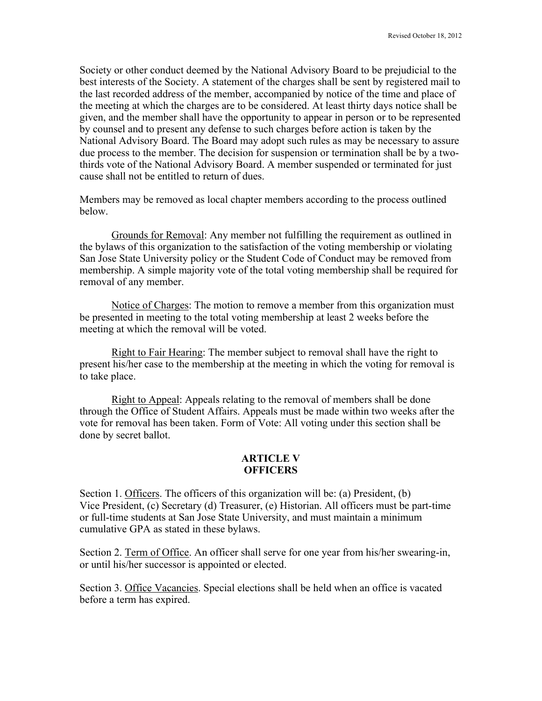Society or other conduct deemed by the National Advisory Board to be prejudicial to the best interests of the Society. A statement of the charges shall be sent by registered mail to the last recorded address of the member, accompanied by notice of the time and place of the meeting at which the charges are to be considered. At least thirty days notice shall be given, and the member shall have the opportunity to appear in person or to be represented by counsel and to present any defense to such charges before action is taken by the National Advisory Board. The Board may adopt such rules as may be necessary to assure due process to the member. The decision for suspension or termination shall be by a twothirds vote of the National Advisory Board. A member suspended or terminated for just cause shall not be entitled to return of dues.

Members may be removed as local chapter members according to the process outlined below.

Grounds for Removal: Any member not fulfilling the requirement as outlined in the bylaws of this organization to the satisfaction of the voting membership or violating San Jose State University policy or the Student Code of Conduct may be removed from membership. A simple majority vote of the total voting membership shall be required for removal of any member.

Notice of Charges: The motion to remove a member from this organization must be presented in meeting to the total voting membership at least 2 weeks before the meeting at which the removal will be voted.

Right to Fair Hearing: The member subject to removal shall have the right to present his/her case to the membership at the meeting in which the voting for removal is to take place.

Right to Appeal: Appeals relating to the removal of members shall be done through the Office of Student Affairs. Appeals must be made within two weeks after the vote for removal has been taken. Form of Vote: All voting under this section shall be done by secret ballot.

## **ARTICLE V OFFICERS**

Section 1. Officers. The officers of this organization will be: (a) President, (b) Vice President, (c) Secretary (d) Treasurer, (e) Historian. All officers must be part-time or full-time students at San Jose State University, and must maintain a minimum cumulative GPA as stated in these bylaws.

Section 2. Term of Office. An officer shall serve for one year from his/her swearing-in, or until his/her successor is appointed or elected.

Section 3. Office Vacancies. Special elections shall be held when an office is vacated before a term has expired.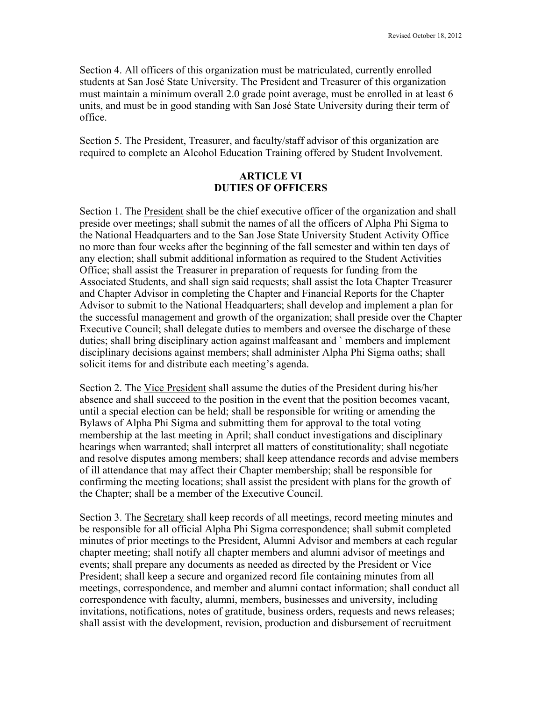Section 4. All officers of this organization must be matriculated, currently enrolled students at San José State University. The President and Treasurer of this organization must maintain a minimum overall 2.0 grade point average, must be enrolled in at least 6 units, and must be in good standing with San José State University during their term of office.

Section 5. The President, Treasurer, and faculty/staff advisor of this organization are required to complete an Alcohol Education Training offered by Student Involvement.

## **ARTICLE VI DUTIES OF OFFICERS**

Section 1. The President shall be the chief executive officer of the organization and shall preside over meetings; shall submit the names of all the officers of Alpha Phi Sigma to the National Headquarters and to the San Jose State University Student Activity Office no more than four weeks after the beginning of the fall semester and within ten days of any election; shall submit additional information as required to the Student Activities Office; shall assist the Treasurer in preparation of requests for funding from the Associated Students, and shall sign said requests; shall assist the Iota Chapter Treasurer and Chapter Advisor in completing the Chapter and Financial Reports for the Chapter Advisor to submit to the National Headquarters; shall develop and implement a plan for the successful management and growth of the organization; shall preside over the Chapter Executive Council; shall delegate duties to members and oversee the discharge of these duties; shall bring disciplinary action against malfeasant and ` members and implement disciplinary decisions against members; shall administer Alpha Phi Sigma oaths; shall solicit items for and distribute each meeting's agenda.

Section 2. The Vice President shall assume the duties of the President during his/her absence and shall succeed to the position in the event that the position becomes vacant, until a special election can be held; shall be responsible for writing or amending the Bylaws of Alpha Phi Sigma and submitting them for approval to the total voting membership at the last meeting in April; shall conduct investigations and disciplinary hearings when warranted; shall interpret all matters of constitutionality; shall negotiate and resolve disputes among members; shall keep attendance records and advise members of ill attendance that may affect their Chapter membership; shall be responsible for confirming the meeting locations; shall assist the president with plans for the growth of the Chapter; shall be a member of the Executive Council.

Section 3. The Secretary shall keep records of all meetings, record meeting minutes and be responsible for all official Alpha Phi Sigma correspondence; shall submit completed minutes of prior meetings to the President, Alumni Advisor and members at each regular chapter meeting; shall notify all chapter members and alumni advisor of meetings and events; shall prepare any documents as needed as directed by the President or Vice President; shall keep a secure and organized record file containing minutes from all meetings, correspondence, and member and alumni contact information; shall conduct all correspondence with faculty, alumni, members, businesses and university, including invitations, notifications, notes of gratitude, business orders, requests and news releases; shall assist with the development, revision, production and disbursement of recruitment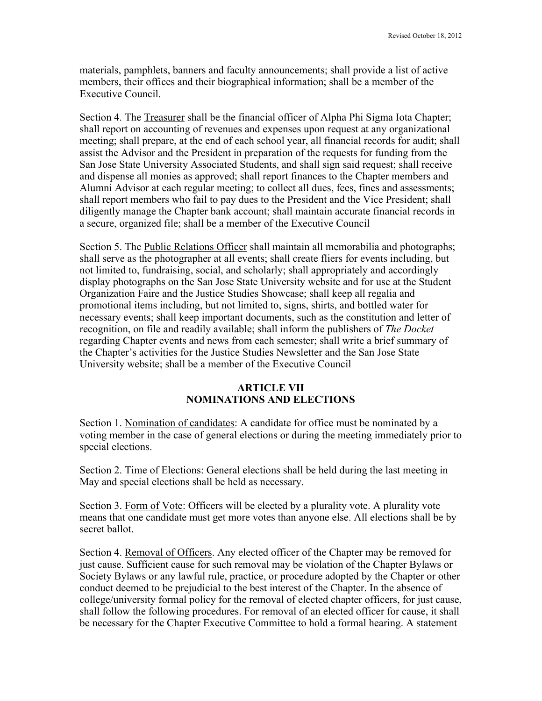materials, pamphlets, banners and faculty announcements; shall provide a list of active members, their offices and their biographical information; shall be a member of the Executive Council.

Section 4. The Treasurer shall be the financial officer of Alpha Phi Sigma Iota Chapter; shall report on accounting of revenues and expenses upon request at any organizational meeting; shall prepare, at the end of each school year, all financial records for audit; shall assist the Advisor and the President in preparation of the requests for funding from the San Jose State University Associated Students, and shall sign said request; shall receive and dispense all monies as approved; shall report finances to the Chapter members and Alumni Advisor at each regular meeting; to collect all dues, fees, fines and assessments; shall report members who fail to pay dues to the President and the Vice President; shall diligently manage the Chapter bank account; shall maintain accurate financial records in a secure, organized file; shall be a member of the Executive Council

Section 5. The Public Relations Officer shall maintain all memorabilia and photographs; shall serve as the photographer at all events; shall create fliers for events including, but not limited to, fundraising, social, and scholarly; shall appropriately and accordingly display photographs on the San Jose State University website and for use at the Student Organization Faire and the Justice Studies Showcase; shall keep all regalia and promotional items including, but not limited to, signs, shirts, and bottled water for necessary events; shall keep important documents, such as the constitution and letter of recognition, on file and readily available; shall inform the publishers of *The Docket* regarding Chapter events and news from each semester; shall write a brief summary of the Chapter's activities for the Justice Studies Newsletter and the San Jose State University website; shall be a member of the Executive Council

## **ARTICLE VII NOMINATIONS AND ELECTIONS**

Section 1. Nomination of candidates: A candidate for office must be nominated by a voting member in the case of general elections or during the meeting immediately prior to special elections.

Section 2. Time of Elections: General elections shall be held during the last meeting in May and special elections shall be held as necessary.

Section 3. Form of Vote: Officers will be elected by a plurality vote. A plurality vote means that one candidate must get more votes than anyone else. All elections shall be by secret ballot.

Section 4. Removal of Officers. Any elected officer of the Chapter may be removed for just cause. Sufficient cause for such removal may be violation of the Chapter Bylaws or Society Bylaws or any lawful rule, practice, or procedure adopted by the Chapter or other conduct deemed to be prejudicial to the best interest of the Chapter. In the absence of college/university formal policy for the removal of elected chapter officers, for just cause, shall follow the following procedures. For removal of an elected officer for cause, it shall be necessary for the Chapter Executive Committee to hold a formal hearing. A statement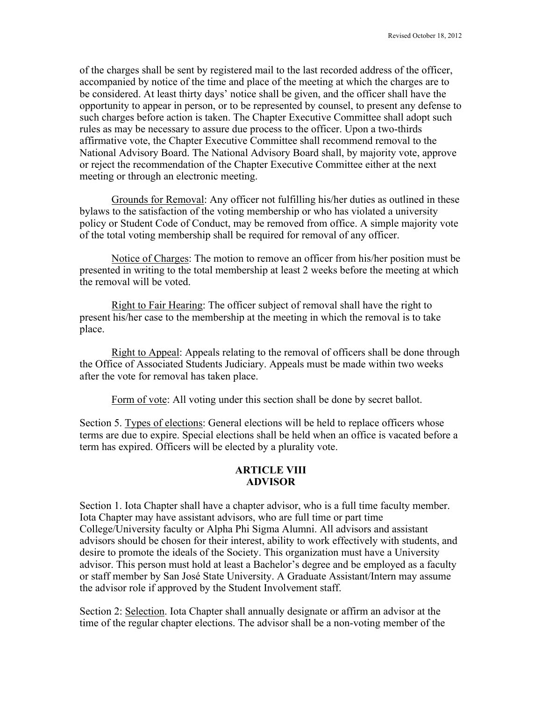of the charges shall be sent by registered mail to the last recorded address of the officer, accompanied by notice of the time and place of the meeting at which the charges are to be considered. At least thirty days' notice shall be given, and the officer shall have the opportunity to appear in person, or to be represented by counsel, to present any defense to such charges before action is taken. The Chapter Executive Committee shall adopt such rules as may be necessary to assure due process to the officer. Upon a two-thirds affirmative vote, the Chapter Executive Committee shall recommend removal to the National Advisory Board. The National Advisory Board shall, by majority vote, approve or reject the recommendation of the Chapter Executive Committee either at the next meeting or through an electronic meeting.

Grounds for Removal: Any officer not fulfilling his/her duties as outlined in these bylaws to the satisfaction of the voting membership or who has violated a university policy or Student Code of Conduct, may be removed from office. A simple majority vote of the total voting membership shall be required for removal of any officer.

Notice of Charges: The motion to remove an officer from his/her position must be presented in writing to the total membership at least 2 weeks before the meeting at which the removal will be voted.

Right to Fair Hearing: The officer subject of removal shall have the right to present his/her case to the membership at the meeting in which the removal is to take place.

Right to Appeal: Appeals relating to the removal of officers shall be done through the Office of Associated Students Judiciary. Appeals must be made within two weeks after the vote for removal has taken place.

Form of vote: All voting under this section shall be done by secret ballot.

Section 5. Types of elections: General elections will be held to replace officers whose terms are due to expire. Special elections shall be held when an office is vacated before a term has expired. Officers will be elected by a plurality vote.

#### **ARTICLE VIII ADVISOR**

Section 1. Iota Chapter shall have a chapter advisor, who is a full time faculty member. Iota Chapter may have assistant advisors, who are full time or part time College/University faculty or Alpha Phi Sigma Alumni. All advisors and assistant advisors should be chosen for their interest, ability to work effectively with students, and desire to promote the ideals of the Society. This organization must have a University advisor. This person must hold at least a Bachelor's degree and be employed as a faculty or staff member by San José State University. A Graduate Assistant/Intern may assume the advisor role if approved by the Student Involvement staff.

Section 2: Selection. Iota Chapter shall annually designate or affirm an advisor at the time of the regular chapter elections. The advisor shall be a non-voting member of the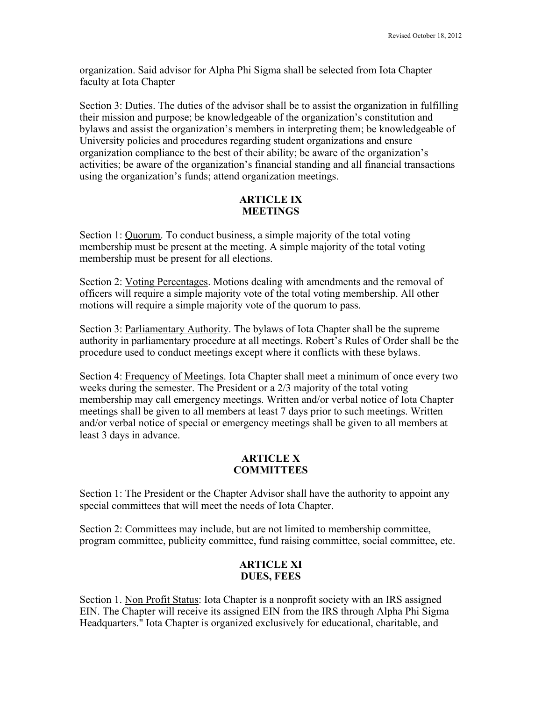organization. Said advisor for Alpha Phi Sigma shall be selected from Iota Chapter faculty at Iota Chapter

Section 3: Duties. The duties of the advisor shall be to assist the organization in fulfilling their mission and purpose; be knowledgeable of the organization's constitution and bylaws and assist the organization's members in interpreting them; be knowledgeable of University policies and procedures regarding student organizations and ensure organization compliance to the best of their ability; be aware of the organization's activities; be aware of the organization's financial standing and all financial transactions using the organization's funds; attend organization meetings.

### **ARTICLE IX MEETINGS**

Section 1: Quorum. To conduct business, a simple majority of the total voting membership must be present at the meeting. A simple majority of the total voting membership must be present for all elections.

Section 2: Voting Percentages. Motions dealing with amendments and the removal of officers will require a simple majority vote of the total voting membership. All other motions will require a simple majority vote of the quorum to pass.

Section 3: Parliamentary Authority. The bylaws of Iota Chapter shall be the supreme authority in parliamentary procedure at all meetings. Robert's Rules of Order shall be the procedure used to conduct meetings except where it conflicts with these bylaws.

Section 4: Frequency of Meetings. Iota Chapter shall meet a minimum of once every two weeks during the semester. The President or a 2/3 majority of the total voting membership may call emergency meetings. Written and/or verbal notice of Iota Chapter meetings shall be given to all members at least 7 days prior to such meetings. Written and/or verbal notice of special or emergency meetings shall be given to all members at least 3 days in advance.

### **ARTICLE X COMMITTEES**

Section 1: The President or the Chapter Advisor shall have the authority to appoint any special committees that will meet the needs of Iota Chapter.

Section 2: Committees may include, but are not limited to membership committee, program committee, publicity committee, fund raising committee, social committee, etc.

## **ARTICLE XI DUES, FEES**

Section 1. Non Profit Status: Iota Chapter is a nonprofit society with an IRS assigned EIN. The Chapter will receive its assigned EIN from the IRS through Alpha Phi Sigma Headquarters." Iota Chapter is organized exclusively for educational, charitable, and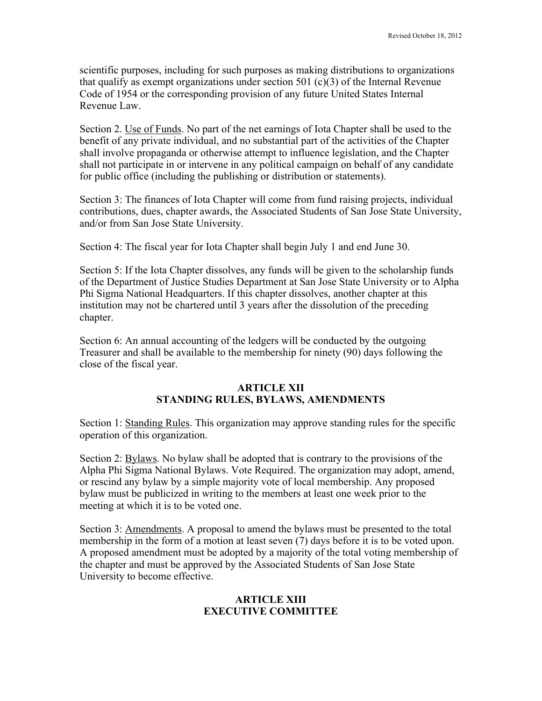scientific purposes, including for such purposes as making distributions to organizations that qualify as exempt organizations under section 501  $(c)(3)$  of the Internal Revenue Code of 1954 or the corresponding provision of any future United States Internal Revenue Law.

Section 2. Use of Funds. No part of the net earnings of Iota Chapter shall be used to the benefit of any private individual, and no substantial part of the activities of the Chapter shall involve propaganda or otherwise attempt to influence legislation, and the Chapter shall not participate in or intervene in any political campaign on behalf of any candidate for public office (including the publishing or distribution or statements).

Section 3: The finances of Iota Chapter will come from fund raising projects, individual contributions, dues, chapter awards, the Associated Students of San Jose State University, and/or from San Jose State University.

Section 4: The fiscal year for Iota Chapter shall begin July 1 and end June 30.

Section 5: If the Iota Chapter dissolves, any funds will be given to the scholarship funds of the Department of Justice Studies Department at San Jose State University or to Alpha Phi Sigma National Headquarters. If this chapter dissolves, another chapter at this institution may not be chartered until 3 years after the dissolution of the preceding chapter.

Section 6: An annual accounting of the ledgers will be conducted by the outgoing Treasurer and shall be available to the membership for ninety (90) days following the close of the fiscal year.

### **ARTICLE XII STANDING RULES, BYLAWS, AMENDMENTS**

Section 1: Standing Rules. This organization may approve standing rules for the specific operation of this organization.

Section 2: Bylaws. No bylaw shall be adopted that is contrary to the provisions of the Alpha Phi Sigma National Bylaws. Vote Required. The organization may adopt, amend, or rescind any bylaw by a simple majority vote of local membership. Any proposed bylaw must be publicized in writing to the members at least one week prior to the meeting at which it is to be voted one.

Section 3: Amendments. A proposal to amend the bylaws must be presented to the total membership in the form of a motion at least seven (7) days before it is to be voted upon. A proposed amendment must be adopted by a majority of the total voting membership of the chapter and must be approved by the Associated Students of San Jose State University to become effective.

## **ARTICLE XIII EXECUTIVE COMMITTEE**